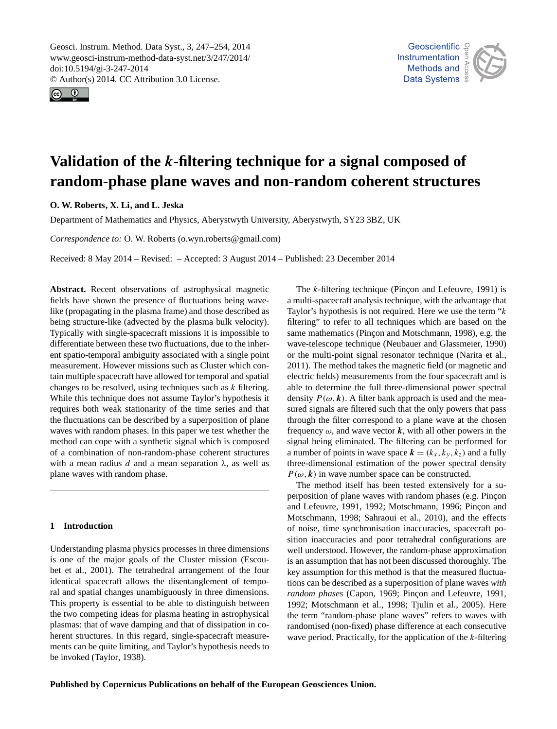<span id="page-0-0"></span>Geosci. Instrum. Method. Data Syst., 3, 247–254, 2014 www.geosci-instrum-method-data-syst.net/3/247/2014/ doi:10.5194/gi-3-247-2014 © Author(s) 2014. CC Attribution 3.0 License.





# **Validation of the** k**-filtering technique for a signal composed of random-phase plane waves and non-random coherent structures**

**O. W. Roberts, X. Li, and L. Jeska**

Department of Mathematics and Physics, Aberystwyth University, Aberystwyth, SY23 3BZ, UK

*Correspondence to:* O. W. Roberts (o.wyn.roberts@gmail.com)

Received: 8 May 2014 – Revised: – Accepted: 3 August 2014 – Published: 23 December 2014

**Abstract.** Recent observations of astrophysical magnetic fields have shown the presence of fluctuations being wavelike (propagating in the plasma frame) and those described as being structure-like (advected by the plasma bulk velocity). Typically with single-spacecraft missions it is impossible to differentiate between these two fluctuations, due to the inherent spatio-temporal ambiguity associated with a single point measurement. However missions such as Cluster which contain multiple spacecraft have allowed for temporal and spatial changes to be resolved, using techniques such as  $k$  filtering. While this technique does not assume Taylor's hypothesis it requires both weak stationarity of the time series and that the fluctuations can be described by a superposition of plane waves with random phases. In this paper we test whether the method can cope with a synthetic signal which is composed of a combination of non-random-phase coherent structures with a mean radius d and a mean separation  $\lambda$ , as well as plane waves with random phase.

# **1 Introduction**

Understanding plasma physics processes in three dimensions is one of the major goals of the Cluster mission [\(Escou](#page-6-0)[bet et al.,](#page-6-0) [2001\)](#page-6-0). The tetrahedral arrangement of the four identical spacecraft allows the disentanglement of temporal and spatial changes unambiguously in three dimensions. This property is essential to be able to distinguish between the two competing ideas for plasma heating in astrophysical plasmas: that of wave damping and that of dissipation in coherent structures. In this regard, single-spacecraft measurements can be quite limiting, and Taylor's hypothesis needs to be invoked [\(Taylor,](#page-7-0) [1938\)](#page-7-0).

The k-filtering technique [\(Pinçon and Lefeuvre,](#page-7-1) [1991\)](#page-7-1) is a multi-spacecraft analysis technique, with the advantage that Taylor's hypothesis is not required. Here we use the term " $k$ filtering" to refer to all techniques which are based on the same mathematics [\(Pinçon and Motschmann,](#page-7-2) [1998\)](#page-7-2), e.g. the wave-telescope technique [\(Neubauer and Glassmeier,](#page-7-3) [1990\)](#page-7-3) or the multi-point signal resonator technique [\(Narita et al.,](#page-7-4) [2011\)](#page-7-4). The method takes the magnetic field (or magnetic and electric fields) measurements from the four spacecraft and is able to determine the full three-dimensional power spectral density  $P(\omega, k)$ . A filter bank approach is used and the measured signals are filtered such that the only powers that pass through the filter correspond to a plane wave at the chosen frequency  $\omega$ , and wave vector k, with all other powers in the signal being eliminated. The filtering can be performed for a number of points in wave space  $\mathbf{k} = (k_x, k_y, k_z)$  and a fully three-dimensional estimation of the power spectral density  $P(\omega, k)$  in wave number space can be constructed.

The method itself has been tested extensively for a superposition of plane waves with random phases (e.g. [Pinçon](#page-7-1) [and Lefeuvre,](#page-7-1) [1991,](#page-7-1) [1992;](#page-7-5) [Motschmann,](#page-7-6) [1996;](#page-7-6) [Pinçon and](#page-7-2) [Motschmann,](#page-7-2) [1998;](#page-7-2) [Sahraoui et al.,](#page-7-7) [2010\)](#page-7-7), and the effects of noise, time synchronisation inaccuracies, spacecraft position inaccuracies and poor tetrahedral configurations are well understood. However, the random-phase approximation is an assumption that has not been discussed thoroughly. The key assumption for this method is that the measured fluctuations can be described as a superposition of plane waves *with random phases* [\(Capon,](#page-6-1) [1969;](#page-6-1) [Pinçon and Lefeuvre,](#page-7-1) [1991,](#page-7-1) [1992;](#page-7-5) [Motschmann et al.,](#page-7-8) [1998;](#page-7-8) [Tjulin et al.,](#page-7-9) [2005\)](#page-7-9). Here the term "random-phase plane waves" refers to waves with randomised (non-fixed) phase difference at each consecutive wave period. Practically, for the application of the  $k$ -filtering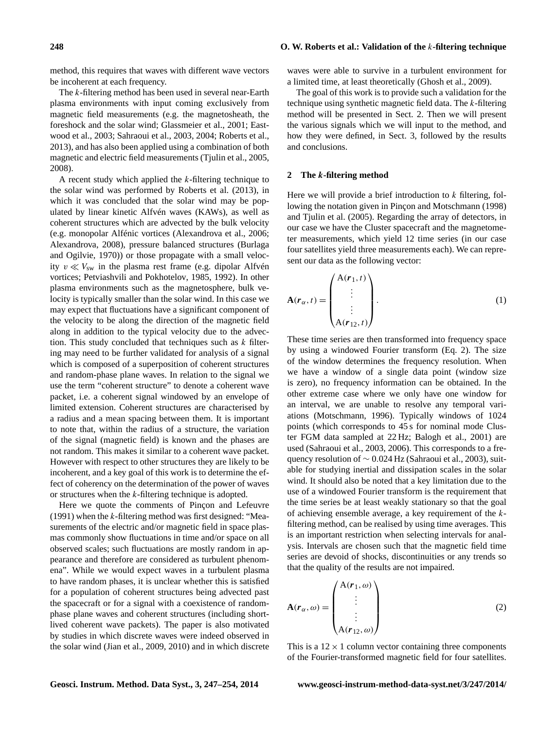#### **248 O. W. Roberts et al.: Validation of the** k**-filtering technique**

method, this requires that waves with different wave vectors be incoherent at each frequency.

The k-filtering method has been used in several near-Earth plasma environments with input coming exclusively from magnetic field measurements (e.g. the magnetosheath, the foreshock and the solar wind; [Glassmeier et al.,](#page-6-2) [2001;](#page-6-2) [East](#page-6-3)[wood et al.,](#page-6-3) [2003;](#page-6-3) [Sahraoui et al.,](#page-7-10) [2003,](#page-7-10) [2004;](#page-7-11) [Roberts et al.,](#page-7-12) [2013\)](#page-7-12), and has also been applied using a combination of both magnetic and electric field measurements [\(Tjulin et al.,](#page-7-9) [2005,](#page-7-9) [2008\)](#page-7-13).

A recent study which applied the  $k$ -filtering technique to the solar wind was performed by [Roberts et al.](#page-7-12) [\(2013\)](#page-7-12), in which it was concluded that the solar wind may be populated by linear kinetic Alfvén waves (KAWs), as well as coherent structures which are advected by the bulk velocity (e.g. monopolar Alfénic vortices [\(Alexandrova et al.,](#page-6-4) [2006;](#page-6-4) [Alexandrova,](#page-6-5) [2008\)](#page-6-5), pressure balanced structures [\(Burlaga](#page-6-6) [and Ogilvie,](#page-6-6) [1970\)](#page-6-6)) or those propagate with a small velocity  $v \ll V_{sw}$  in the plasma rest frame (e.g. dipolar Alfvén vortices; [Petviashvili and Pokhotelov,](#page-7-14) [1985,](#page-7-14) [1992\)](#page-7-15). In other plasma environments such as the magnetosphere, bulk velocity is typically smaller than the solar wind. In this case we may expect that fluctuations have a significant component of the velocity to be along the direction of the magnetic field along in addition to the typical velocity due to the advection. This study concluded that techniques such as  $k$  filtering may need to be further validated for analysis of a signal which is composed of a superposition of coherent structures and random-phase plane waves. In relation to the signal we use the term "coherent structure" to denote a coherent wave packet, i.e. a coherent signal windowed by an envelope of limited extension. Coherent structures are characterised by a radius and a mean spacing between them. It is important to note that, within the radius of a structure, the variation of the signal (magnetic field) is known and the phases are not random. This makes it similar to a coherent wave packet. However with respect to other structures they are likely to be incoherent, and a key goal of this work is to determine the effect of coherency on the determination of the power of waves or structures when the k-filtering technique is adopted.

Here we quote the comments of [Pinçon and Lefeuvre](#page-7-1) [\(1991\)](#page-7-1) when the k-filtering method was first designed: "Measurements of the electric and/or magnetic field in space plasmas commonly show fluctuations in time and/or space on all observed scales; such fluctuations are mostly random in appearance and therefore are considered as turbulent phenomena". While we would expect waves in a turbulent plasma to have random phases, it is unclear whether this is satisfied for a population of coherent structures being advected past the spacecraft or for a signal with a coexistence of randomphase plane waves and coherent structures (including shortlived coherent wave packets). The paper is also motivated by studies in which discrete waves were indeed observed in the solar wind [\(Jian et al.,](#page-6-7) [2009,](#page-6-7) [2010\)](#page-6-8) and in which discrete

waves were able to survive in a turbulent environment for a limited time, at least theoretically [\(Ghosh et al.,](#page-6-9) [2009\)](#page-6-9).

The goal of this work is to provide such a validation for the technique using synthetic magnetic field data. The k-filtering method will be presented in Sect. [2.](#page-1-0) Then we will present the various signals which we will input to the method, and how they were defined, in Sect. [3,](#page-2-0) followed by the results and conclusions.

#### <span id="page-1-0"></span>**2 The** k**-filtering method**

Here we will provide a brief introduction to  $k$  filtering, following the notation given in [Pinçon and Motschmann](#page-7-2) [\(1998\)](#page-7-2) and [Tjulin et al.](#page-7-9) [\(2005\)](#page-7-9). Regarding the array of detectors, in our case we have the Cluster spacecraft and the magnetometer measurements, which yield 12 time series (in our case four satellites yield three measurements each). We can represent our data as the following vector:

$$
\mathbf{A}(\mathbf{r}_{\alpha},t) = \begin{pmatrix} \mathbf{A}(\mathbf{r}_{1},t) \\ \vdots \\ \mathbf{A}(\mathbf{r}_{12},t) \end{pmatrix} .
$$
 (1)

These time series are then transformed into frequency space by using a windowed Fourier transform (Eq. [2\)](#page-1-1). The size of the window determines the frequency resolution. When we have a window of a single data point (window size is zero), no frequency information can be obtained. In the other extreme case where we only have one window for an interval, we are unable to resolve any temporal variations [\(Motschmann,](#page-7-6) [1996\)](#page-7-6). Typically windows of 1024 points (which corresponds to 45 s for nominal mode Cluster FGM data sampled at 22 Hz; [Balogh et al.,](#page-6-10) [2001\)](#page-6-10) are used [\(Sahraoui et al.,](#page-7-10) [2003,](#page-7-10) [2006\)](#page-7-16). This corresponds to a frequency resolution of  $\sim 0.024$  Hz [\(Sahraoui et al.,](#page-7-10) [2003\)](#page-7-10), suitable for studying inertial and dissipation scales in the solar wind. It should also be noted that a key limitation due to the use of a windowed Fourier transform is the requirement that the time series be at least weakly stationary so that the goal of achieving ensemble average, a key requirement of the kfiltering method, can be realised by using time averages. This is an important restriction when selecting intervals for analysis. Intervals are chosen such that the magnetic field time series are devoid of shocks, discontinuities or any trends so that the quality of the results are not impaired.

<span id="page-1-1"></span>
$$
\mathbf{A}(\mathbf{r}_{\alpha},\omega) = \begin{pmatrix} \mathbf{A}(\mathbf{r}_{1},\omega) \\ \vdots \\ \mathbf{A}(\mathbf{r}_{12},\omega) \end{pmatrix}
$$
(2)

This is a  $12 \times 1$  column vector containing three components of the Fourier-transformed magnetic field for four satellites.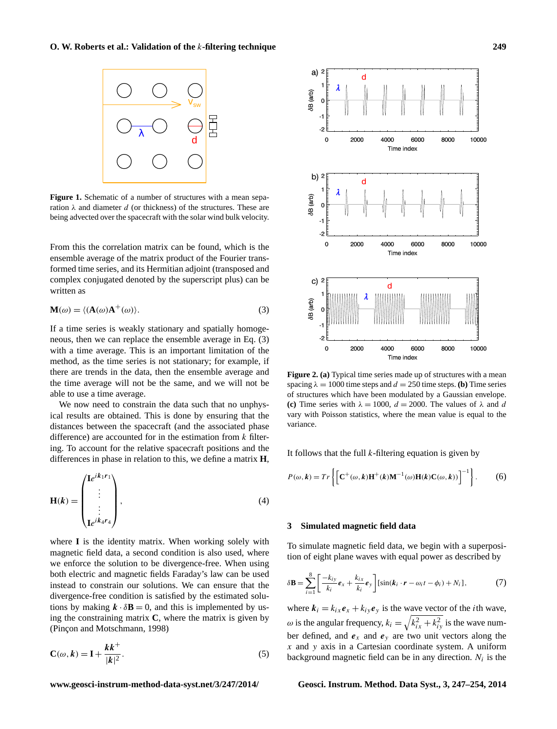<span id="page-2-3"></span>

**Figure 1.** Schematic of a number of structures with a mean separation  $\lambda$  and diameter d (or thickness) of the structures. These are being advected over the spacecraft with the solar wind bulk velocity.

From this the correlation matrix can be found, which is the ensemble average of the matrix product of the Fourier transformed time series, and its Hermitian adjoint (transposed and complex conjugated denoted by the superscript plus) can be written as

<span id="page-2-1"></span>
$$
\mathbf{M}(\omega) = \langle (\mathbf{A}(\omega)\mathbf{A}^+(\omega) \rangle. \tag{3}
$$

If a time series is weakly stationary and spatially homogeneous, then we can replace the ensemble average in Eq. [\(3\)](#page-2-1) with a time average. This is an important limitation of the method, as the time series is not stationary; for example, if there are trends in the data, then the ensemble average and the time average will not be the same, and we will not be able to use a time average.

We now need to constrain the data such that no unphysical results are obtained. This is done by ensuring that the distances between the spacecraft (and the associated phase difference) are accounted for in the estimation from  $k$  filtering. To account for the relative spacecraft positions and the differences in phase in relation to this, we define a matrix **H**,

$$
\mathbf{H}(k) = \begin{pmatrix} \mathbf{I}e^{ik_1r_1} \\ \vdots \\ \vdots \\ \mathbf{I}e^{ik_4r_4} \end{pmatrix},
$$
 (4)

where **I** is the identity matrix. When working solely with magnetic field data, a second condition is also used, where we enforce the solution to be divergence-free. When using both electric and magnetic fields Faraday's law can be used instead to constrain our solutions. We can ensure that the divergence-free condition is satisfied by the estimated solutions by making  $\mathbf{k} \cdot \delta \mathbf{B} = 0$ , and this is implemented by using the constraining matrix **C**, where the matrix is given by [\(Pinçon and Motschmann,](#page-7-2) [1998\)](#page-7-2)

$$
\mathbf{C}(\omega, k) = \mathbf{I} + \frac{k k^{+}}{|k|^{2}}.
$$
 (5)

<span id="page-2-4"></span>

**Figure 2. (a)** Typical time series made up of structures with a mean spacing  $\lambda = 1000$  time steps and  $d = 250$  time steps. **(b)** Time series of structures which have been modulated by a Gaussian envelope. **(c)** Time series with  $\lambda = 1000$ ,  $d = 2000$ . The values of  $\lambda$  and d vary with Poisson statistics, where the mean value is equal to the variance.

Time index

It follows that the full  $k$ -filtering equation is given by

$$
P(\omega, k) = Tr\left\{ \left[ \mathbf{C}^{+}(\omega, k) \mathbf{H}^{+}(k) \mathbf{M}^{-1}(\omega) \mathbf{H}(k) \mathbf{C}(\omega, k)) \right]^{-1} \right\}.
$$
 (6)

## <span id="page-2-0"></span>**3 Simulated magnetic field data**

<span id="page-2-2"></span>To simulate magnetic field data, we begin with a superposition of eight plane waves with equal power as described by

$$
\delta \mathbf{B} = \sum_{i=1}^{8} \left[ \frac{-k_{iy}}{k_i} \boldsymbol{e}_x + \frac{k_{ix}}{k_i} \boldsymbol{e}_y \right] [\sin(\boldsymbol{k}_i \cdot \boldsymbol{r} - \omega_i t - \phi_i) + N_i], \tag{7}
$$

where  $k_i = k_{ix} e_x + k_{iy} e_y$  is the wave vector of the *i*th wave,  $\omega$  is the angular frequency,  $k_i = \sqrt{k_{ix}^2 + k_{iy}^2}$  is the wave number defined, and  $e_x$  and  $e_y$  are two unit vectors along the  $x$  and  $y$  axis in a Cartesian coordinate system. A uniform background magnetic field can be in any direction.  $N_i$  is the

**www.geosci-instrum-method-data-syst.net/3/247/2014/ Geosci. Instrum. Method. Data Syst., 3, 247[–254,](#page-0-0) 2014**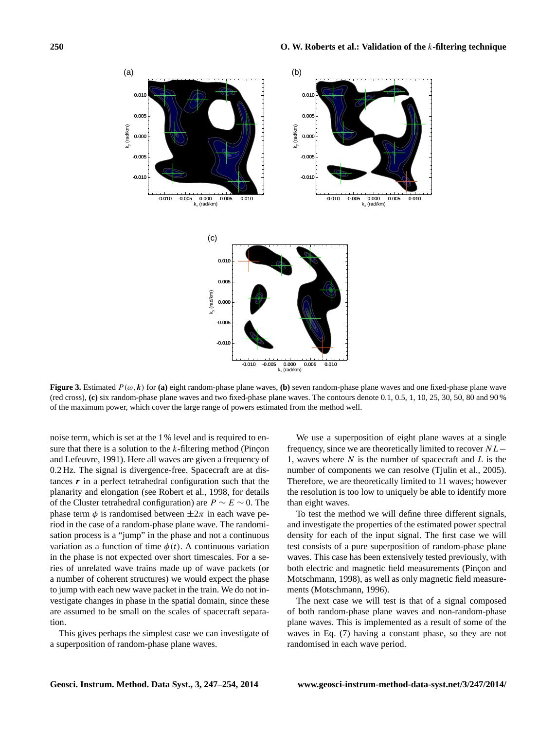<span id="page-3-0"></span>

**Figure 3.** Estimated  $P(\omega, k)$  for (a) eight random-phase plane waves, (b) seven random-phase plane waves and one fixed-phase plane wave (red cross), **(c)** six random-phase plane waves and two fixed-phase plane waves. The contours denote 0.1, 0.5, 1, 10, 25, 30, 50, 80 and 90 % of the maximum power, which cover the large range of powers estimated from the method well.

noise term, which is set at the 1 % level and is required to ensure that there is a solution to the  $k$ -filtering method [\(Pinçon](#page-7-1) [and Lefeuvre,](#page-7-1) [1991\)](#page-7-1). Here all waves are given a frequency of 0.2 Hz. The signal is divergence-free. Spacecraft are at distances  $\boldsymbol{r}$  in a perfect tetrahedral configuration such that the planarity and elongation (see [Robert et al.,](#page-7-17) [1998,](#page-7-17) for details of the Cluster tetrahedral configuration) are  $P \sim E \sim 0$ . The phase term  $\phi$  is randomised between  $\pm 2\pi$  in each wave period in the case of a random-phase plane wave. The randomisation process is a "jump" in the phase and not a continuous variation as a function of time  $\phi(t)$ . A continuous variation in the phase is not expected over short timescales. For a series of unrelated wave trains made up of wave packets (or a number of coherent structures) we would expect the phase to jump with each new wave packet in the train. We do not investigate changes in phase in the spatial domain, since these are assumed to be small on the scales of spacecraft separation.

This gives perhaps the simplest case we can investigate of a superposition of random-phase plane waves.

We use a superposition of eight plane waves at a single frequency, since we are theoretically limited to recover NL− 1, waves where  $N$  is the number of spacecraft and  $L$  is the number of components we can resolve (Tiulin et al., [2005\)](#page-7-9). Therefore, we are theoretically limited to 11 waves; however the resolution is too low to uniquely be able to identify more than eight waves.

To test the method we will define three different signals, and investigate the properties of the estimated power spectral density for each of the input signal. The first case we will test consists of a pure superposition of random-phase plane waves. This case has been extensively tested previously, with both electric and magnetic field measurements [\(Pinçon and](#page-7-2) [Motschmann,](#page-7-2) [1998\)](#page-7-2), as well as only magnetic field measurements [\(Motschmann,](#page-7-6) [1996\)](#page-7-6).

The next case we will test is that of a signal composed of both random-phase plane waves and non-random-phase plane waves. This is implemented as a result of some of the waves in Eq. [\(7\)](#page-2-2) having a constant phase, so they are not randomised in each wave period.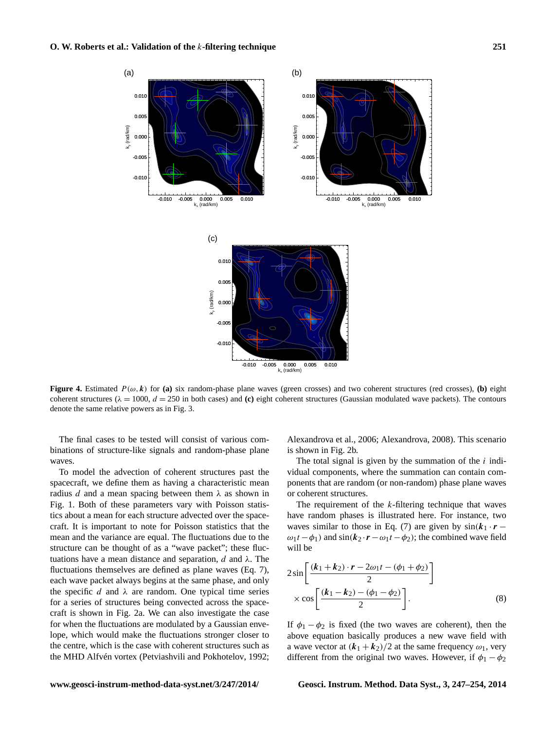<span id="page-4-0"></span>

**Figure 4.** Estimated  $P(\omega, k)$  for (a) six random-phase plane waves (green crosses) and two coherent structures (red crosses), (b) eight coherent structures ( $\lambda = 1000$ ,  $d = 250$  in both cases) and (c) eight coherent structures (Gaussian modulated wave packets). The contours denote the same relative powers as in Fig. [3.](#page-3-0)

The final cases to be tested will consist of various combinations of structure-like signals and random-phase plane waves.

To model the advection of coherent structures past the spacecraft, we define them as having a characteristic mean radius d and a mean spacing between them  $\lambda$  as shown in Fig. [1.](#page-2-3) Both of these parameters vary with Poisson statistics about a mean for each structure advected over the spacecraft. It is important to note for Poisson statistics that the mean and the variance are equal. The fluctuations due to the structure can be thought of as a "wave packet"; these fluctuations have a mean distance and separation, d and  $\lambda$ . The fluctuations themselves are defined as plane waves (Eq. [7\)](#page-2-2), each wave packet always begins at the same phase, and only the specific d and  $\lambda$  are random. One typical time series for a series of structures being convected across the spacecraft is shown in Fig. [2a](#page-2-4). We can also investigate the case for when the fluctuations are modulated by a Gaussian envelope, which would make the fluctuations stronger closer to the centre, which is the case with coherent structures such as the MHD Alfvén vortex [\(Petviashvili and Pokhotelov,](#page-7-15) [1992;](#page-7-15)

[Alexandrova et al.,](#page-6-4) [2006;](#page-6-4) [Alexandrova,](#page-6-5) [2008\)](#page-6-5). This scenario is shown in Fig. [2b](#page-2-4).

The total signal is given by the summation of the  $i$  individual components, where the summation can contain components that are random (or non-random) phase plane waves or coherent structures.

The requirement of the k-filtering technique that waves have random phases is illustrated here. For instance, two waves similar to those in Eq. (7) are given by  $sin(k_1 \cdot r \omega_1 t - \phi_1$ ) and sin( $k_2 \cdot r - \omega_1 t - \phi_2$ ); the combined wave field will be

$$
2\sin\left[\frac{(k_1+k_2)\cdot r - 2\omega_1 t - (\phi_1 + \phi_2)}{2}\right] \times \cos\left[\frac{(k_1-k_2) - (\phi_1 - \phi_2)}{2}\right].
$$
\n(8)

If  $\phi_1 - \phi_2$  is fixed (the two waves are coherent), then the above equation basically produces a new wave field with a wave vector at  $(k_1 + k_2)/2$  at the same frequency  $\omega_1$ , very different from the original two waves. However, if  $\phi_1 - \phi_2$ 

**www.geosci-instrum-method-data-syst.net/3/247/2014/ Geosci. Instrum. Method. Data Syst., 3, 247[–254,](#page-0-0) 2014**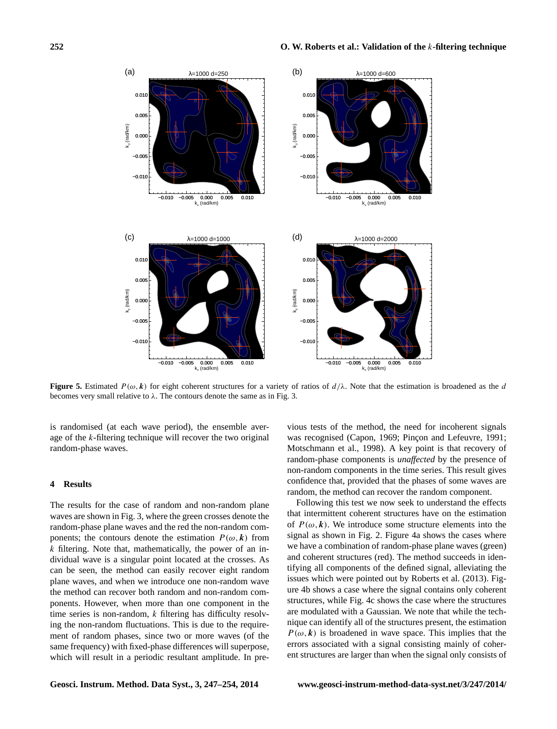<span id="page-5-0"></span>

**Figure 5.** Estimated  $P(\omega, k)$  for eight coherent structures for a variety of ratios of  $d/\lambda$ . Note that the estimation is broadened as the d becomes very small relative to  $\lambda$ . The contours denote the same as in Fig. [3.](#page-3-0)

is randomised (at each wave period), the ensemble average of the k-filtering technique will recover the two original random-phase waves.

# **4 Results**

The results for the case of random and non-random plane waves are shown in Fig. [3,](#page-3-0) where the green crosses denote the random-phase plane waves and the red the non-random components; the contours denote the estimation  $P(\omega, k)$  from  $k$  filtering. Note that, mathematically, the power of an individual wave is a singular point located at the crosses. As can be seen, the method can easily recover eight random plane waves, and when we introduce one non-random wave the method can recover both random and non-random components. However, when more than one component in the time series is non-random,  $k$  filtering has difficulty resolving the non-random fluctuations. This is due to the requirement of random phases, since two or more waves (of the same frequency) with fixed-phase differences will superpose, which will result in a periodic resultant amplitude. In pre-

vious tests of the method, the need for incoherent signals was recognised [\(Capon,](#page-6-1) [1969;](#page-6-1) [Pinçon and Lefeuvre,](#page-7-1) [1991;](#page-7-1) [Motschmann et al.,](#page-7-8) [1998\)](#page-7-8). A key point is that recovery of random-phase components is *unaffected* by the presence of non-random components in the time series. This result gives confidence that, provided that the phases of some waves are random, the method can recover the random component.

Following this test we now seek to understand the effects that intermittent coherent structures have on the estimation of  $P(\omega, k)$ . We introduce some structure elements into the signal as shown in Fig. [2.](#page-2-4) Figure [4a](#page-4-0) shows the cases where we have a combination of random-phase plane waves (green) and coherent structures (red). The method succeeds in identifying all components of the defined signal, alleviating the issues which were pointed out by [Roberts et al.](#page-7-12) [\(2013\)](#page-7-12). Figure [4b](#page-4-0) shows a case where the signal contains only coherent structures, while Fig. [4c](#page-4-0) shows the case where the structures are modulated with a Gaussian. We note that while the technique can identify all of the structures present, the estimation  $P(\omega, k)$  is broadened in wave space. This implies that the errors associated with a signal consisting mainly of coherent structures are larger than when the signal only consists of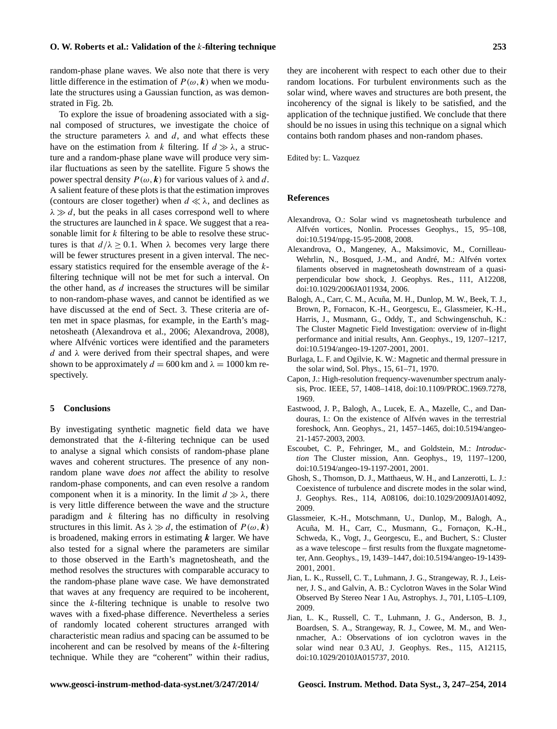#### **O. W. Roberts et al.: Validation of the** k**-filtering technique 253**

random-phase plane waves. We also note that there is very little difference in the estimation of  $P(\omega, k)$  when we modulate the structures using a Gaussian function, as was demonstrated in Fig. [2b](#page-2-4).

To explore the issue of broadening associated with a signal composed of structures, we investigate the choice of the structure parameters  $\lambda$  and d, and what effects these have on the estimation from k filtering. If  $d \gg \lambda$ , a structure and a random-phase plane wave will produce very similar fluctuations as seen by the satellite. Figure [5](#page-5-0) shows the power spectral density  $P(\omega, k)$  for various values of  $\lambda$  and d. A salient feature of these plots is that the estimation improves (contours are closer together) when  $d \ll \lambda$ , and declines as  $\lambda \gg d$ , but the peaks in all cases correspond well to where the structures are launched in  $k$  space. We suggest that a reasonable limit for  $k$  filtering to be able to resolve these structures is that  $d/\lambda \ge 0.1$ . When  $\lambda$  becomes very large there will be fewer structures present in a given interval. The necessary statistics required for the ensemble average of the kfiltering technique will not be met for such a interval. On the other hand, as  $d$  increases the structures will be similar to non-random-phase waves, and cannot be identified as we have discussed at the end of Sect. 3. These criteria are often met in space plasmas, for example, in the Earth's magnetosheath [\(Alexandrova et al.,](#page-6-4) [2006;](#page-6-4) [Alexandrova,](#page-6-5) [2008\)](#page-6-5), where Alfvénic vortices were identified and the parameters d and  $\lambda$  were derived from their spectral shapes, and were shown to be approximately  $d = 600$  km and  $\lambda = 1000$  km respectively.

## **5 Conclusions**

By investigating synthetic magnetic field data we have demonstrated that the k-filtering technique can be used to analyse a signal which consists of random-phase plane waves and coherent structures. The presence of any nonrandom plane wave *does not* affect the ability to resolve random-phase components, and can even resolve a random component when it is a minority. In the limit  $d \gg \lambda$ , there is very little difference between the wave and the structure paradigm and  $k$  filtering has no difficulty in resolving structures in this limit. As  $\lambda \gg d$ , the estimation of  $P(\omega, k)$ is broadened, making errors in estimating  $k$  larger. We have also tested for a signal where the parameters are similar to those observed in the Earth's magnetosheath, and the method resolves the structures with comparable accuracy to the random-phase plane wave case. We have demonstrated that waves at any frequency are required to be incoherent, since the  $k$ -filtering technique is unable to resolve two waves with a fixed-phase difference. Nevertheless a series of randomly located coherent structures arranged with characteristic mean radius and spacing can be assumed to be incoherent and can be resolved by means of the  $k$ -filtering technique. While they are "coherent" within their radius, they are incoherent with respect to each other due to their random locations. For turbulent environments such as the solar wind, where waves and structures are both present, the incoherency of the signal is likely to be satisfied, and the application of the technique justified. We conclude that there should be no issues in using this technique on a signal which contains both random phases and non-random phases.

Edited by: L. Vazquez

## **References**

- <span id="page-6-5"></span>Alexandrova, O.: Solar wind vs magnetosheath turbulence and Alfvén vortices, Nonlin. Processes Geophys., 15, 95–108, doi[:10.5194/npg-15-95-2008,](http://dx.doi.org/10.5194/npg-15-95-2008) 2008.
- <span id="page-6-4"></span>Alexandrova, O., Mangeney, A., Maksimovic, M., Cornilleau-Wehrlin, N., Bosqued, J.-M., and André, M.: Alfvén vortex filaments observed in magnetosheath downstream of a quasiperpendicular bow shock, J. Geophys. Res., 111, A12208, doi[:10.1029/2006JA011934,](http://dx.doi.org/10.1029/2006JA011934) 2006.
- <span id="page-6-10"></span>Balogh, A., Carr, C. M., Acuña, M. H., Dunlop, M. W., Beek, T. J., Brown, P., Fornacon, K.-H., Georgescu, E., Glassmeier, K.-H., Harris, J., Musmann, G., Oddy, T., and Schwingenschuh, K.: The Cluster Magnetic Field Investigation: overview of in-flight performance and initial results, Ann. Geophys., 19, 1207–1217, doi[:10.5194/angeo-19-1207-2001,](http://dx.doi.org/10.5194/angeo-19-1207-2001) 2001.
- <span id="page-6-6"></span>Burlaga, L. F. and Ogilvie, K. W.: Magnetic and thermal pressure in the solar wind, Sol. Phys., 15, 61–71, 1970.
- <span id="page-6-1"></span>Capon, J.: High-resolution frequency-wavenumber spectrum analysis, Proc. IEEE, 57, 1408–1418, doi[:10.1109/PROC.1969.7278,](http://dx.doi.org/10.1109/PROC.1969.7278) 1969.
- <span id="page-6-3"></span>Eastwood, J. P., Balogh, A., Lucek, E. A., Mazelle, C., and Dandouras, I.: On the existence of Alfvén waves in the terrestrial foreshock, Ann. Geophys., 21, 1457–1465, doi[:10.5194/angeo-](http://dx.doi.org/10.5194/angeo-21-1457-2003)[21-1457-2003,](http://dx.doi.org/10.5194/angeo-21-1457-2003) 2003.
- <span id="page-6-0"></span>Escoubet, C. P., Fehringer, M., and Goldstein, M.: *Introduction* The Cluster mission, Ann. Geophys., 19, 1197–1200, doi[:10.5194/angeo-19-1197-2001,](http://dx.doi.org/10.5194/angeo-19-1197-2001) 2001.
- <span id="page-6-9"></span>Ghosh, S., Thomson, D. J., Matthaeus, W. H., and Lanzerotti, L. J.: Coexistence of turbulence and discrete modes in the solar wind, J. Geophys. Res., 114, A08106, doi[:10.1029/2009JA014092,](http://dx.doi.org/10.1029/2009JA014092) 2009.
- <span id="page-6-2"></span>Glassmeier, K.-H., Motschmann, U., Dunlop, M., Balogh, A., Acuña, M. H., Carr, C., Musmann, G., Fornaçon, K.-H., Schweda, K., Vogt, J., Georgescu, E., and Buchert, S.: Cluster as a wave telescope – first results from the fluxgate magnetometer, Ann. Geophys., 19, 1439–1447, doi[:10.5194/angeo-19-1439-](http://dx.doi.org/10.5194/angeo-19-1439-2001) [2001,](http://dx.doi.org/10.5194/angeo-19-1439-2001) 2001.
- <span id="page-6-7"></span>Jian, L. K., Russell, C. T., Luhmann, J. G., Strangeway, R. J., Leisner, J. S., and Galvin, A. B.: Cyclotron Waves in the Solar Wind Observed By Stereo Near 1 Au, Astrophys. J., 701, L105–L109, 2009.
- <span id="page-6-8"></span>Jian, L. K., Russell, C. T., Luhmann, J. G., Anderson, B. J., Boardsen, S. A., Strangeway, R. J., Cowee, M. M., and Wennmacher, A.: Observations of ion cyclotron waves in the solar wind near 0.3 AU, J. Geophys. Res., 115, A12115, doi[:10.1029/2010JA015737,](http://dx.doi.org/10.1029/2010JA015737) 2010.

**www.geosci-instrum-method-data-syst.net/3/247/2014/ Geosci. Instrum. Method. Data Syst., 3, 247[–254,](#page-0-0) 2014**